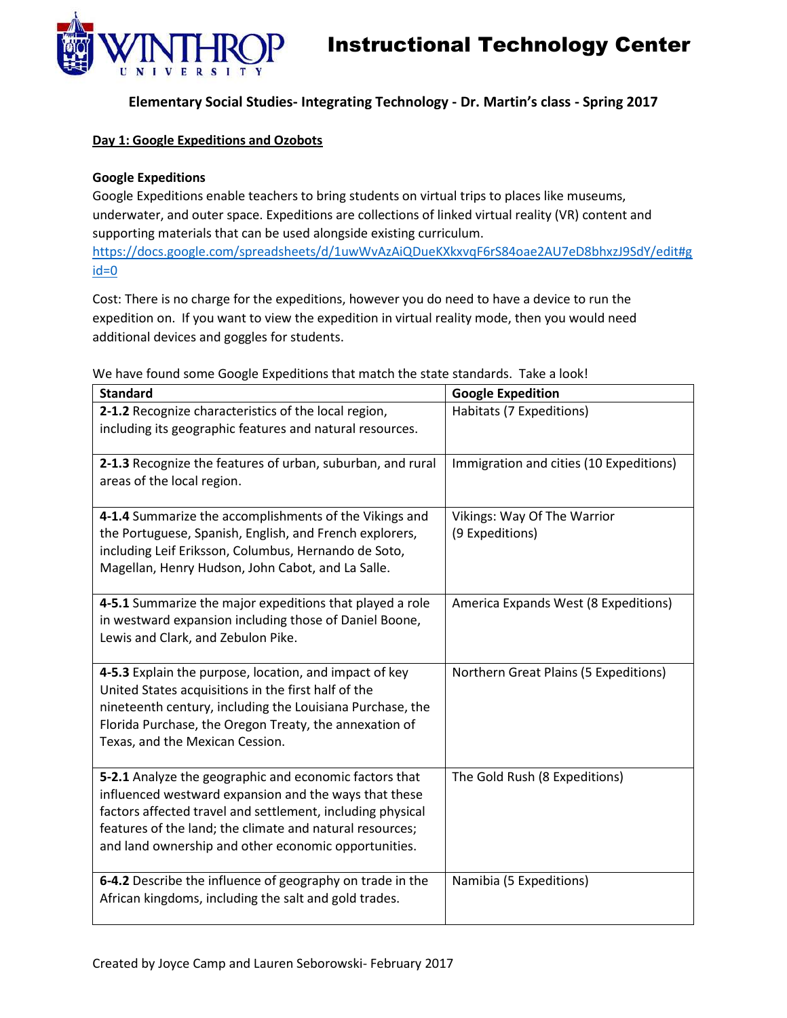



**Elementary Social Studies- Integrating Technology - Dr. Martin's class - Spring 2017**

### **Day 1: Google Expeditions and Ozobots**

## **Google Expeditions**

Google Expeditions enable teachers to bring students on virtual trips to places like museums, underwater, and outer space. Expeditions are collections of linked virtual reality (VR) content and supporting materials that can be used alongside existing curriculum. [https://docs.google.com/spreadsheets/d/1uwWvAzAiQDueKXkxvqF6rS84oae2AU7eD8bhxzJ9SdY/edit#g](https://docs.google.com/spreadsheets/d/1uwWvAzAiQDueKXkxvqF6rS84oae2AU7eD8bhxzJ9SdY/edit#gid=0) [id=0](https://docs.google.com/spreadsheets/d/1uwWvAzAiQDueKXkxvqF6rS84oae2AU7eD8bhxzJ9SdY/edit#gid=0)

Cost: There is no charge for the expeditions, however you do need to have a device to run the expedition on. If you want to view the expedition in virtual reality mode, then you would need additional devices and goggles for students.

| <b>Standard</b>                                                                                                                                                                                                                                                                                   | <b>Google Expedition</b>                       |  |
|---------------------------------------------------------------------------------------------------------------------------------------------------------------------------------------------------------------------------------------------------------------------------------------------------|------------------------------------------------|--|
| 2-1.2 Recognize characteristics of the local region,<br>including its geographic features and natural resources.                                                                                                                                                                                  | Habitats (7 Expeditions)                       |  |
| 2-1.3 Recognize the features of urban, suburban, and rural<br>areas of the local region.                                                                                                                                                                                                          | Immigration and cities (10 Expeditions)        |  |
| 4-1.4 Summarize the accomplishments of the Vikings and<br>the Portuguese, Spanish, English, and French explorers,<br>including Leif Eriksson, Columbus, Hernando de Soto,<br>Magellan, Henry Hudson, John Cabot, and La Salle.                                                                    | Vikings: Way Of The Warrior<br>(9 Expeditions) |  |
| 4-5.1 Summarize the major expeditions that played a role<br>in westward expansion including those of Daniel Boone,<br>Lewis and Clark, and Zebulon Pike.                                                                                                                                          | America Expands West (8 Expeditions)           |  |
| 4-5.3 Explain the purpose, location, and impact of key<br>United States acquisitions in the first half of the<br>nineteenth century, including the Louisiana Purchase, the<br>Florida Purchase, the Oregon Treaty, the annexation of<br>Texas, and the Mexican Cession.                           | Northern Great Plains (5 Expeditions)          |  |
| 5-2.1 Analyze the geographic and economic factors that<br>influenced westward expansion and the ways that these<br>factors affected travel and settlement, including physical<br>features of the land; the climate and natural resources;<br>and land ownership and other economic opportunities. | The Gold Rush (8 Expeditions)                  |  |
| 6-4.2 Describe the influence of geography on trade in the<br>African kingdoms, including the salt and gold trades.                                                                                                                                                                                | Namibia (5 Expeditions)                        |  |

We have found some Google Expeditions that match the state standards. Take a look!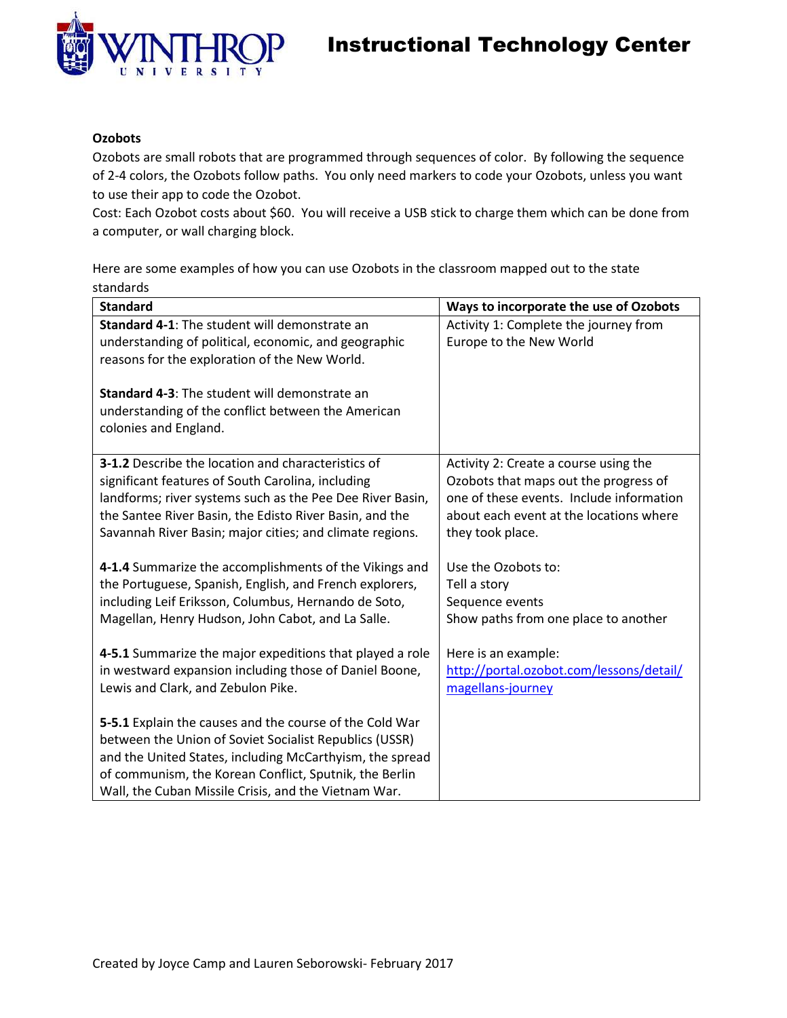

## **Ozobots**

Ozobots are small robots that are programmed through sequences of color. By following the sequence of 2-4 colors, the Ozobots follow paths. You only need markers to code your Ozobots, unless you want to use their app to code the Ozobot.

Cost: Each Ozobot costs about \$60. You will receive a USB stick to charge them which can be done from a computer, or wall charging block.

Here are some examples of how you can use Ozobots in the classroom mapped out to the state standards

| <b>Standard</b>                                                                                                                     | Ways to incorporate the use of Ozobots                                            |  |
|-------------------------------------------------------------------------------------------------------------------------------------|-----------------------------------------------------------------------------------|--|
| <b>Standard 4-1:</b> The student will demonstrate an                                                                                | Activity 1: Complete the journey from                                             |  |
| understanding of political, economic, and geographic                                                                                | Europe to the New World                                                           |  |
| reasons for the exploration of the New World.                                                                                       |                                                                                   |  |
| <b>Standard 4-3: The student will demonstrate an</b><br>understanding of the conflict between the American<br>colonies and England. |                                                                                   |  |
| <b>3-1.2</b> Describe the location and characteristics of                                                                           | Activity 2: Create a course using the                                             |  |
| significant features of South Carolina, including<br>landforms; river systems such as the Pee Dee River Basin,                      | Ozobots that maps out the progress of<br>one of these events. Include information |  |
| the Santee River Basin, the Edisto River Basin, and the                                                                             | about each event at the locations where                                           |  |
| Savannah River Basin; major cities; and climate regions.                                                                            | they took place.                                                                  |  |
|                                                                                                                                     |                                                                                   |  |
| 4-1.4 Summarize the accomplishments of the Vikings and                                                                              | Use the Ozobots to:                                                               |  |
| the Portuguese, Spanish, English, and French explorers,                                                                             | Tell a story                                                                      |  |
| including Leif Eriksson, Columbus, Hernando de Soto,                                                                                | Sequence events                                                                   |  |
| Magellan, Henry Hudson, John Cabot, and La Salle.                                                                                   | Show paths from one place to another                                              |  |
|                                                                                                                                     |                                                                                   |  |
| 4-5.1 Summarize the major expeditions that played a role<br>in westward expansion including those of Daniel Boone,                  | Here is an example:<br>http://portal.ozobot.com/lessons/detail/                   |  |
| Lewis and Clark, and Zebulon Pike.                                                                                                  | magellans-journey                                                                 |  |
|                                                                                                                                     |                                                                                   |  |
| 5-5.1 Explain the causes and the course of the Cold War                                                                             |                                                                                   |  |
| between the Union of Soviet Socialist Republics (USSR)                                                                              |                                                                                   |  |
| and the United States, including McCarthyism, the spread                                                                            |                                                                                   |  |
| of communism, the Korean Conflict, Sputnik, the Berlin                                                                              |                                                                                   |  |
| Wall, the Cuban Missile Crisis, and the Vietnam War.                                                                                |                                                                                   |  |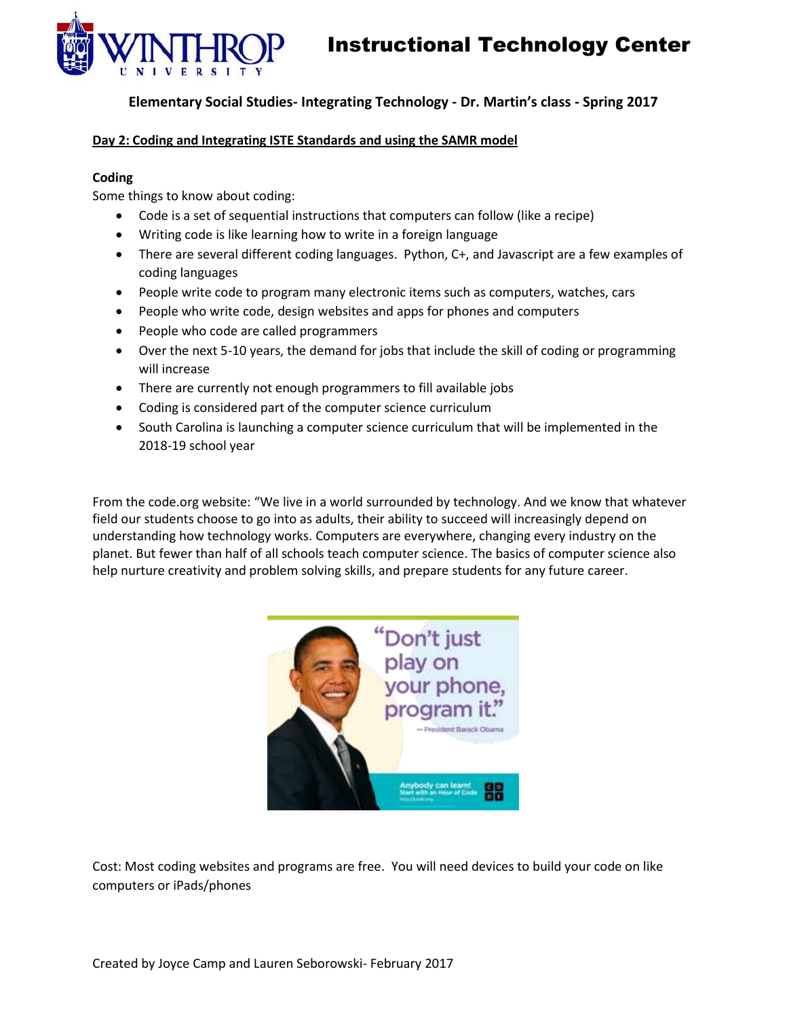

## **Elementary Social Studies- Integrating Technology - Dr. Martin's class - Spring 2017**

## **Day 2: Coding and Integrating ISTE Standards and using the SAMR model**

### **Coding**

Some things to know about coding:

- Code is a set of sequential instructions that computers can follow (like a recipe)
- Writing code is like learning how to write in a foreign language
- There are several different coding languages. Python, C+, and Javascript are a few examples of coding languages
- People write code to program many electronic items such as computers, watches, cars
- People who write code, design websites and apps for phones and computers
- People who code are called programmers
- Over the next 5-10 years, the demand for jobs that include the skill of coding or programming will increase
- There are currently not enough programmers to fill available jobs
- Coding is considered part of the computer science curriculum
- South Carolina is launching a computer science curriculum that will be implemented in the 2018-19 school year

From the code.org website: "We live in a world surrounded by technology. And we know that whatever field our students choose to go into as adults, their ability to succeed will increasingly depend on understanding how technology works. Computers are everywhere, changing every industry on the planet. But fewer than half of all schools teach computer science. The basics of computer science also help nurture creativity and problem solving skills, and prepare students for any future career.



Cost: Most coding websites and programs are free. You will need devices to build your code on like computers or iPads/phones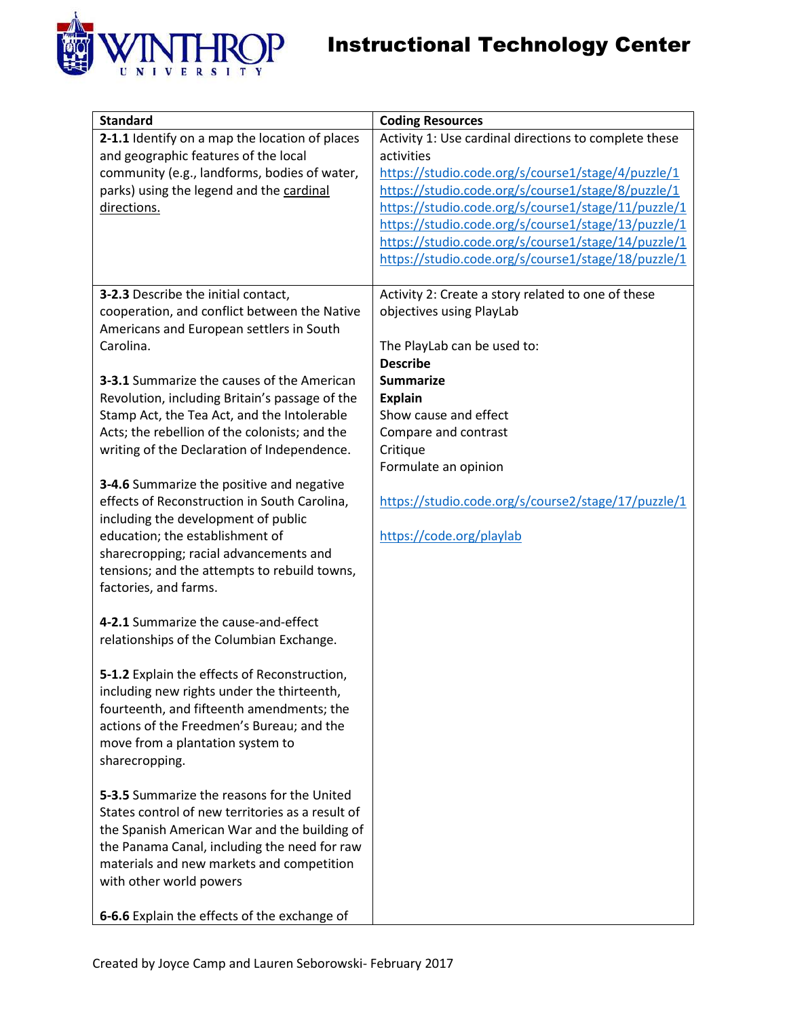

| <b>Standard</b>                                                                                                                                                                                                                                                                                                                                                                                                                                                                                                                                                                                                                                                                                                                                                                                                                                                                                                                                                                                                                                                                                                                                                                                                                                                                                                 | <b>Coding Resources</b>                                                                                                                                                                                                                                                                                                                                                                                     |
|-----------------------------------------------------------------------------------------------------------------------------------------------------------------------------------------------------------------------------------------------------------------------------------------------------------------------------------------------------------------------------------------------------------------------------------------------------------------------------------------------------------------------------------------------------------------------------------------------------------------------------------------------------------------------------------------------------------------------------------------------------------------------------------------------------------------------------------------------------------------------------------------------------------------------------------------------------------------------------------------------------------------------------------------------------------------------------------------------------------------------------------------------------------------------------------------------------------------------------------------------------------------------------------------------------------------|-------------------------------------------------------------------------------------------------------------------------------------------------------------------------------------------------------------------------------------------------------------------------------------------------------------------------------------------------------------------------------------------------------------|
| 2-1.1 Identify on a map the location of places<br>and geographic features of the local<br>community (e.g., landforms, bodies of water,<br>parks) using the legend and the cardinal<br>directions.                                                                                                                                                                                                                                                                                                                                                                                                                                                                                                                                                                                                                                                                                                                                                                                                                                                                                                                                                                                                                                                                                                               | Activity 1: Use cardinal directions to complete these<br>activities<br>https://studio.code.org/s/course1/stage/4/puzzle/1<br>https://studio.code.org/s/course1/stage/8/puzzle/1<br>https://studio.code.org/s/course1/stage/11/puzzle/1<br>https://studio.code.org/s/course1/stage/13/puzzle/1<br>https://studio.code.org/s/course1/stage/14/puzzle/1<br>https://studio.code.org/s/course1/stage/18/puzzle/1 |
| 3-2.3 Describe the initial contact,<br>cooperation, and conflict between the Native<br>Americans and European settlers in South<br>Carolina.<br><b>3-3.1</b> Summarize the causes of the American<br>Revolution, including Britain's passage of the<br>Stamp Act, the Tea Act, and the Intolerable<br>Acts; the rebellion of the colonists; and the<br>writing of the Declaration of Independence.<br>3-4.6 Summarize the positive and negative<br>effects of Reconstruction in South Carolina,<br>including the development of public<br>education; the establishment of<br>sharecropping; racial advancements and<br>tensions; and the attempts to rebuild towns,<br>factories, and farms.<br>4-2.1 Summarize the cause-and-effect<br>relationships of the Columbian Exchange.<br>5-1.2 Explain the effects of Reconstruction,<br>including new rights under the thirteenth,<br>fourteenth, and fifteenth amendments; the<br>actions of the Freedmen's Bureau; and the<br>move from a plantation system to<br>sharecropping.<br><b>5-3.5</b> Summarize the reasons for the United<br>States control of new territories as a result of<br>the Spanish American War and the building of<br>the Panama Canal, including the need for raw<br>materials and new markets and competition<br>with other world powers | Activity 2: Create a story related to one of these<br>objectives using PlayLab<br>The PlayLab can be used to:<br><b>Describe</b><br><b>Summarize</b><br><b>Explain</b><br>Show cause and effect<br>Compare and contrast<br>Critique<br>Formulate an opinion<br>https://studio.code.org/s/course2/stage/17/puzzle/1<br>https://code.org/playlab                                                              |
| 6-6.6 Explain the effects of the exchange of                                                                                                                                                                                                                                                                                                                                                                                                                                                                                                                                                                                                                                                                                                                                                                                                                                                                                                                                                                                                                                                                                                                                                                                                                                                                    |                                                                                                                                                                                                                                                                                                                                                                                                             |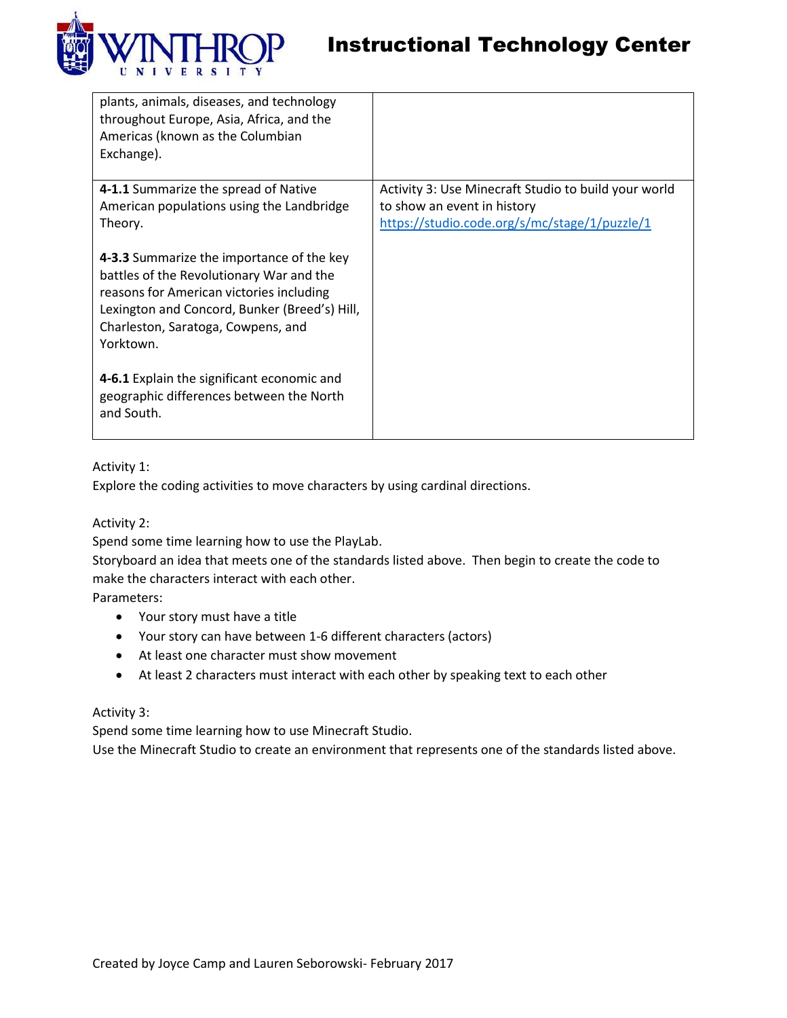

| plants, animals, diseases, and technology<br>throughout Europe, Asia, Africa, and the<br>Americas (known as the Columbian<br>Exchange).                                                                                               |                                                      |
|---------------------------------------------------------------------------------------------------------------------------------------------------------------------------------------------------------------------------------------|------------------------------------------------------|
| 4-1.1 Summarize the spread of Native                                                                                                                                                                                                  | Activity 3: Use Minecraft Studio to build your world |
| American populations using the Landbridge                                                                                                                                                                                             | to show an event in history                          |
| Theory.                                                                                                                                                                                                                               | https://studio.code.org/s/mc/stage/1/puzzle/1        |
| 4-3.3 Summarize the importance of the key<br>battles of the Revolutionary War and the<br>reasons for American victories including<br>Lexington and Concord, Bunker (Breed's) Hill,<br>Charleston, Saratoga, Cowpens, and<br>Yorktown. |                                                      |
| 4-6.1 Explain the significant economic and<br>geographic differences between the North<br>and South.                                                                                                                                  |                                                      |

## Activity 1:

Explore the coding activities to move characters by using cardinal directions.

Activity 2:

Spend some time learning how to use the PlayLab.

Storyboard an idea that meets one of the standards listed above. Then begin to create the code to make the characters interact with each other.

Parameters:

- Your story must have a title
- Your story can have between 1-6 different characters (actors)
- At least one character must show movement
- At least 2 characters must interact with each other by speaking text to each other

## Activity 3:

Spend some time learning how to use Minecraft Studio.

Use the Minecraft Studio to create an environment that represents one of the standards listed above.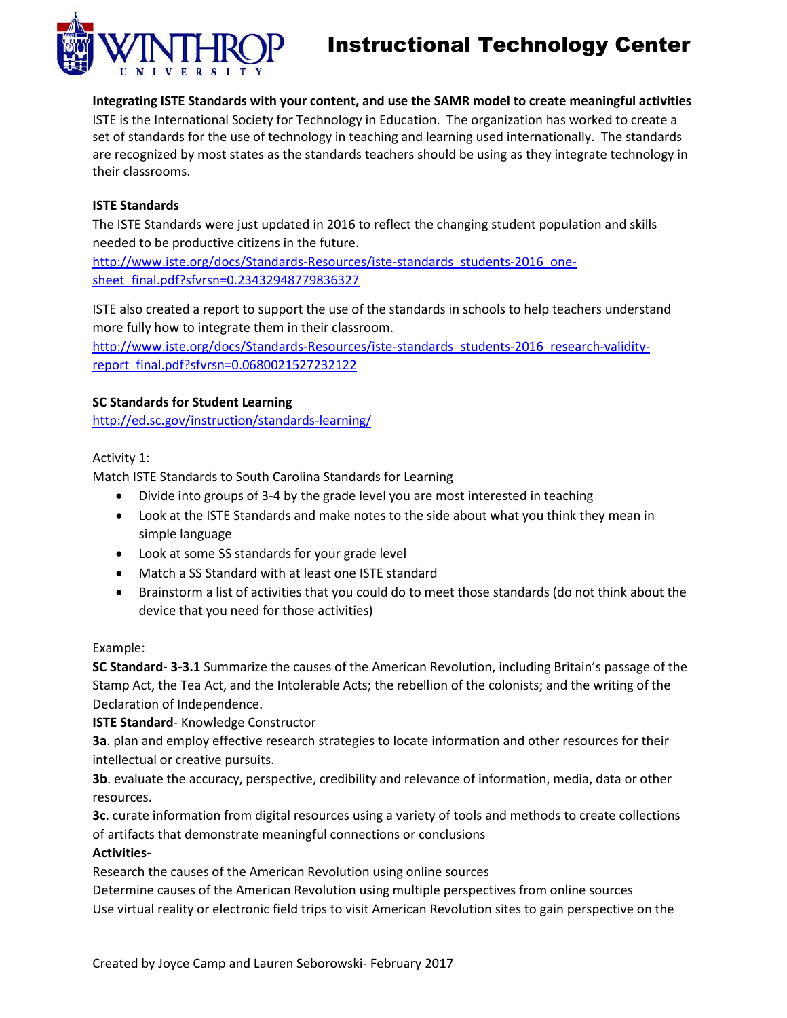

**Integrating ISTE Standards with your content, and use the SAMR model to create meaningful activities** ISTE is the International Society for Technology in Education. The organization has worked to create a set of standards for the use of technology in teaching and learning used internationally. The standards are recognized by most states as the standards teachers should be using as they integrate technology in their classrooms.

## **ISTE Standards**

The ISTE Standards were just updated in 2016 to reflect the changing student population and skills needed to be productive citizens in the future.

[http://www.iste.org/docs/Standards-Resources/iste-standards\\_students-2016\\_one](http://www.iste.org/docs/Standards-Resources/iste-standards_students-2016_one-sheet_final.pdf?sfvrsn=0.23432948779836327)[sheet\\_final.pdf?sfvrsn=0.23432948779836327](http://www.iste.org/docs/Standards-Resources/iste-standards_students-2016_one-sheet_final.pdf?sfvrsn=0.23432948779836327)

ISTE also created a report to support the use of the standards in schools to help teachers understand more fully how to integrate them in their classroom.

[http://www.iste.org/docs/Standards-Resources/iste-standards\\_students-2016\\_research-validity](http://www.iste.org/docs/Standards-Resources/iste-standards_students-2016_research-validity-report_final.pdf?sfvrsn=0.0680021527232122)[report\\_final.pdf?sfvrsn=0.0680021527232122](http://www.iste.org/docs/Standards-Resources/iste-standards_students-2016_research-validity-report_final.pdf?sfvrsn=0.0680021527232122)

## **SC Standards for Student Learning**

<http://ed.sc.gov/instruction/standards-learning/>

Activity 1:

Match ISTE Standards to South Carolina Standards for Learning

- Divide into groups of 3-4 by the grade level you are most interested in teaching
- Look at the ISTE Standards and make notes to the side about what you think they mean in simple language
- Look at some SS standards for your grade level
- Match a SS Standard with at least one ISTE standard
- Brainstorm a list of activities that you could do to meet those standards (do not think about the device that you need for those activities)

## Example:

**SC Standard- 3-3.1** Summarize the causes of the American Revolution, including Britain's passage of the Stamp Act, the Tea Act, and the Intolerable Acts; the rebellion of the colonists; and the writing of the Declaration of Independence.

**ISTE Standard**- Knowledge Constructor

**3a**. plan and employ effective research strategies to locate information and other resources for their intellectual or creative pursuits.

**3b**. evaluate the accuracy, perspective, credibility and relevance of information, media, data or other resources.

**3c**. curate information from digital resources using a variety of tools and methods to create collections of artifacts that demonstrate meaningful connections or conclusions

## **Activities-**

Research the causes of the American Revolution using online sources

Determine causes of the American Revolution using multiple perspectives from online sources Use virtual reality or electronic field trips to visit American Revolution sites to gain perspective on the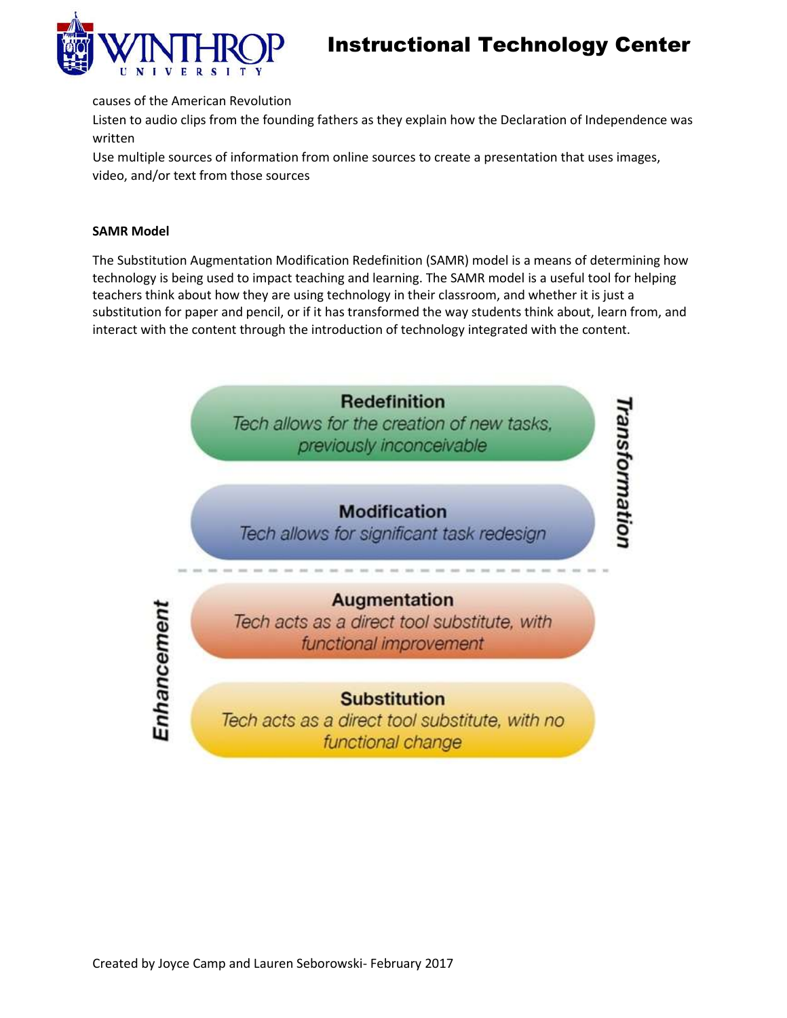

causes of the American Revolution

Listen to audio clips from the founding fathers as they explain how the Declaration of Independence was written

Use multiple sources of information from online sources to create a presentation that uses images, video, and/or text from those sources

### **SAMR Model**

The Substitution Augmentation Modification Redefinition (SAMR) model is a means of determining how technology is being used to impact teaching and learning. The SAMR model is a useful tool for helping teachers think about how they are using technology in their classroom, and whether it is just a substitution for paper and pencil, or if it has transformed the way students think about, learn from, and interact with the content through the introduction of technology integrated with the content.

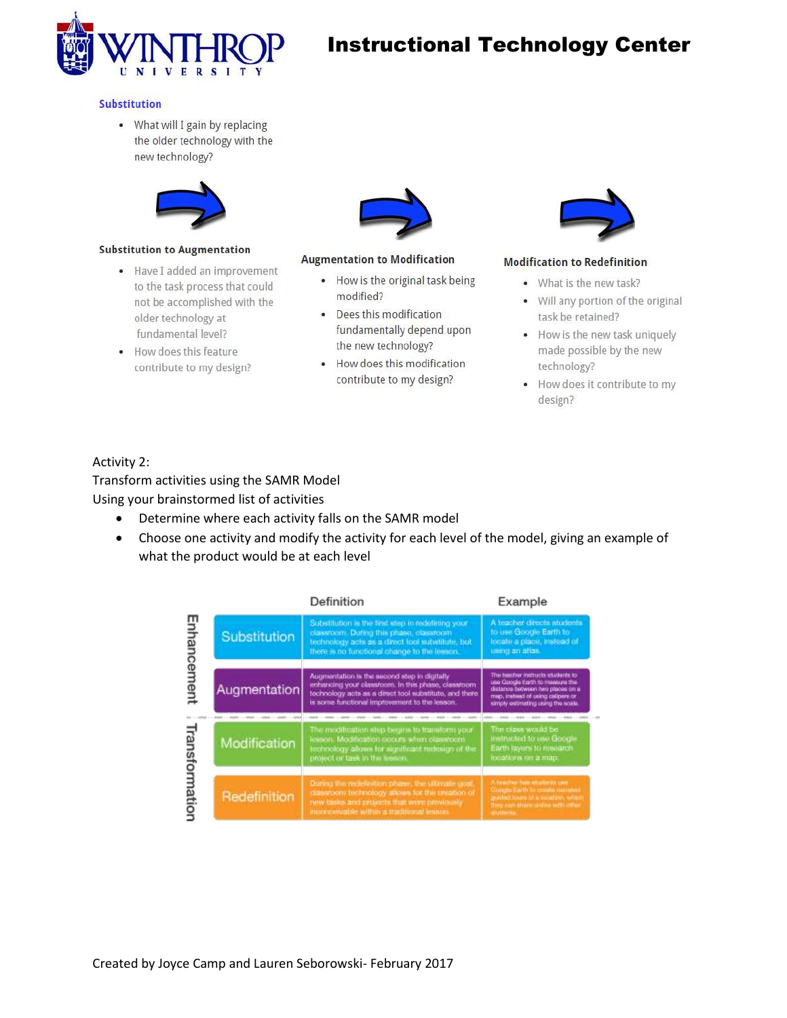

#### **Substitution**

• What will I gain by replacing the older technology with the new technology?



#### **Substitution to Augmentation**

- Have I added an improvement to the task process that could not be accomplished with the older technology at fundamental level?
- How does this feature contribute to my design?



#### **Augmentation to Modification**

- How is the original task being modified?
- Dees this modification fundamentally depend upon the new technology?
- How does this modification contribute to my design?



#### **Modification to Redefinition**

- What is the new task?
- Will any portion of the original task be retained?
- How is the new task uniquely made possible by the new technology?
- How does it contribute to my design?

### Activity 2:

Transform activities using the SAMR Model Using your brainstormed list of activities

- Determine where each activity falls on the SAMR model
- Choose one activity and modify the activity for each level of the model, giving an example of what the product would be at each level

|             |              | Definition                                                                                                                                                                                                     | Example                                                                                                                                                                               |
|-------------|--------------|----------------------------------------------------------------------------------------------------------------------------------------------------------------------------------------------------------------|---------------------------------------------------------------------------------------------------------------------------------------------------------------------------------------|
| Enhancement | Substitution | Substitution is the tirist step in redefining your<br>classroom. During this phase, classroom<br>technology acts as a direct tool substitute, but<br>there is no functional change to the lesson.              | A teacher directs students<br>to use Google Earth to<br>locale a place, instead of<br>using an allan.                                                                                 |
|             | Augmentation | Augmentation is the second step in digitally<br>enhancing your classroom. In this phase, classroom.<br>technology acts as a direct tool substitute, and there<br>is some functional improvement to the lesson. | This teacher instructs students to<br>use Google Earth to measure the<br>distance between two places on a<br>mep, instead of using calipers or<br>simply outlinating using the scale. |
| oisue.      | Modification | The modification step begies to transform your<br>lesson. Modification occurs when classroom<br>technology allows for significant redesign of the<br>project of task in the lesson.                            | The class would be<br>instructed to use Google<br>Earth layers to research<br>incontrove on a map.                                                                                    |
|             | Redefinition | During the molefinition phase, the uttimate goal<br>diaserport technology allows for the creation of<br>new tasks and projects that were previously.<br>incomescable within a traditional lessun.              | A hugher-has students our<br>Google Earth by create namalast<br>guided tours of a total en-whit<br>they can share sister with other<br><b>MAJOR</b>                                   |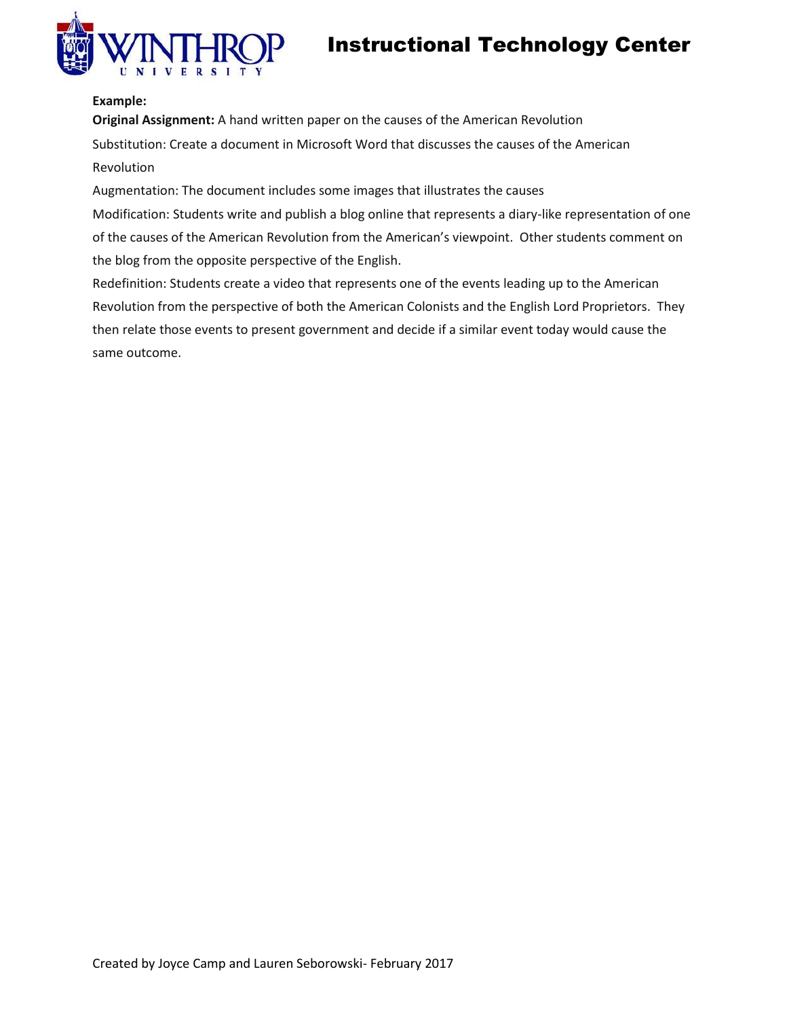

## **Example:**

**Original Assignment:** A hand written paper on the causes of the American Revolution Substitution: Create a document in Microsoft Word that discusses the causes of the American Revolution

Augmentation: The document includes some images that illustrates the causes

Modification: Students write and publish a blog online that represents a diary-like representation of one of the causes of the American Revolution from the American's viewpoint. Other students comment on the blog from the opposite perspective of the English.

Redefinition: Students create a video that represents one of the events leading up to the American Revolution from the perspective of both the American Colonists and the English Lord Proprietors. They then relate those events to present government and decide if a similar event today would cause the same outcome.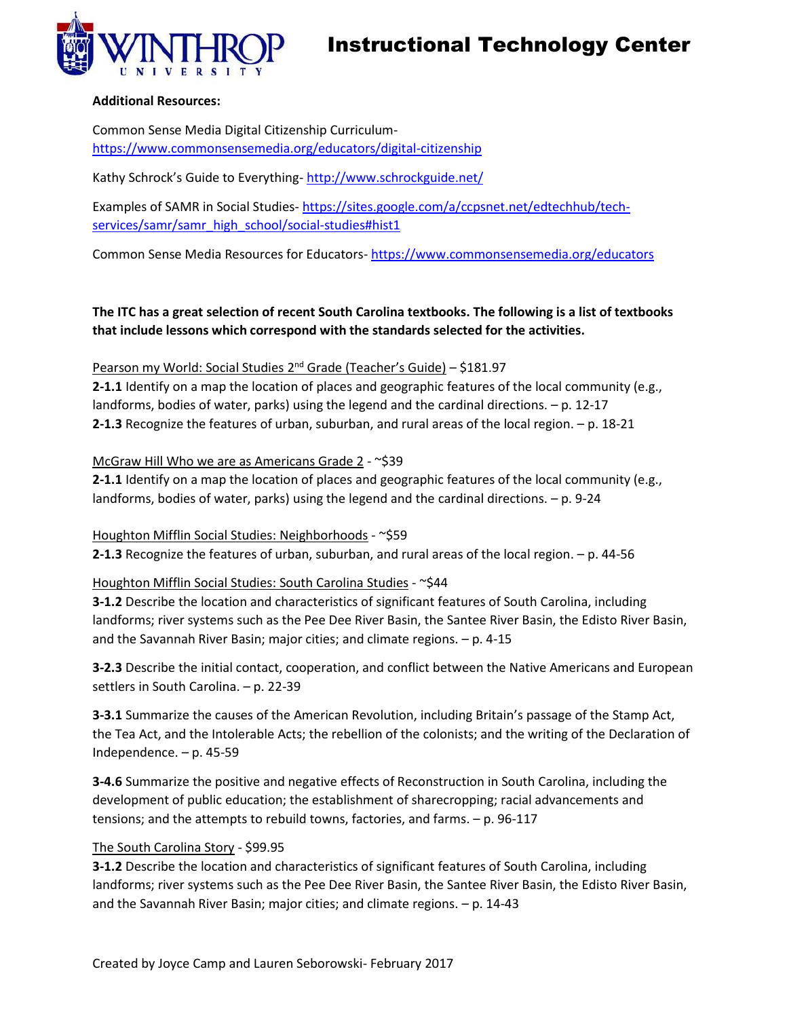

### **Additional Resources:**

Common Sense Media Digital Citizenship Curriculum<https://www.commonsensemedia.org/educators/digital-citizenship>

Kathy Schrock's Guide to Everything-<http://www.schrockguide.net/>

Examples of SAMR in Social Studies- [https://sites.google.com/a/ccpsnet.net/edtechhub/tech](https://sites.google.com/a/ccpsnet.net/edtechhub/tech-services/samr/samr_high_school/social-studies#hist1)[services/samr/samr\\_high\\_school/social-studies#hist1](https://sites.google.com/a/ccpsnet.net/edtechhub/tech-services/samr/samr_high_school/social-studies#hist1)

Common Sense Media Resources for Educators- <https://www.commonsensemedia.org/educators>

## **The ITC has a great selection of recent South Carolina textbooks. The following is a list of textbooks that include lessons which correspond with the standards selected for the activities.**

## Pearson my World: Social Studies 2<sup>nd</sup> Grade (Teacher's Guide) – \$181.97

**2-1.1** Identify on a map the location of places and geographic features of the local community (e.g., landforms, bodies of water, parks) using the legend and the cardinal directions. – p. 12-17 **2-1.3** Recognize the features of urban, suburban, and rural areas of the local region. – p. 18-21

## McGraw Hill Who we are as Americans Grade 2 - ~\$39

**2-1.1** Identify on a map the location of places and geographic features of the local community (e.g., landforms, bodies of water, parks) using the legend and the cardinal directions. – p. 9-24

Houghton Mifflin Social Studies: Neighborhoods - ~\$59 **2-1.3** Recognize the features of urban, suburban, and rural areas of the local region. – p. 44-56

## Houghton Mifflin Social Studies: South Carolina Studies - ~\$44

**3-1.2** Describe the location and characteristics of significant features of South Carolina, including landforms; river systems such as the Pee Dee River Basin, the Santee River Basin, the Edisto River Basin, and the Savannah River Basin; major cities; and climate regions. – p. 4-15

**3-2.3** Describe the initial contact, cooperation, and conflict between the Native Americans and European settlers in South Carolina. – p. 22-39

**3-3.1** Summarize the causes of the American Revolution, including Britain's passage of the Stamp Act, the Tea Act, and the Intolerable Acts; the rebellion of the colonists; and the writing of the Declaration of Independence. – p. 45-59

**3-4.6** Summarize the positive and negative effects of Reconstruction in South Carolina, including the development of public education; the establishment of sharecropping; racial advancements and tensions; and the attempts to rebuild towns, factories, and farms. – p. 96-117

## The South Carolina Story - \$99.95

**3-1.2** Describe the location and characteristics of significant features of South Carolina, including landforms; river systems such as the Pee Dee River Basin, the Santee River Basin, the Edisto River Basin, and the Savannah River Basin; major cities; and climate regions. – p. 14-43